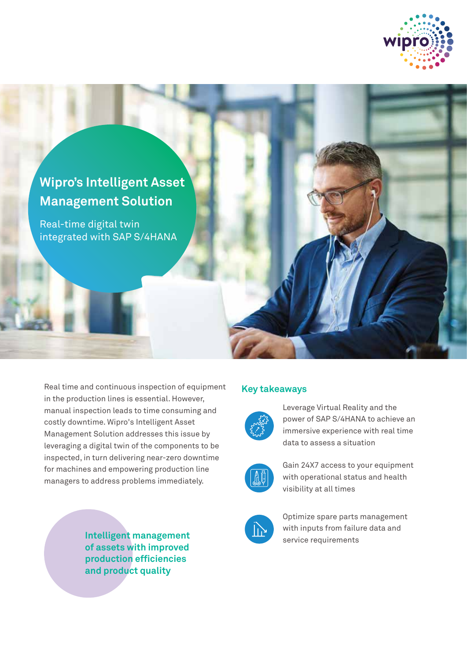



Real time and continuous inspection of equipment in the production lines is essential. However, manual inspection leads to time consuming and costly downtime. Wipro's Intelligent Asset Management Solution addresses this issue by leveraging a digital twin of the components to be inspected, in turn delivering near-zero downtime for machines and empowering production line managers to address problems immediately.

> **Intelligent management of assets with improved production efficiencies and product quality**

## **Key takeaways**



Leverage Virtual Reality and the power of SAP S/4HANA to achieve an immersive experience with real time data to assess a situation



Gain 24X7 access to your equipment with operational status and health visibility at all times



Optimize spare parts management with inputs from failure data and service requirements